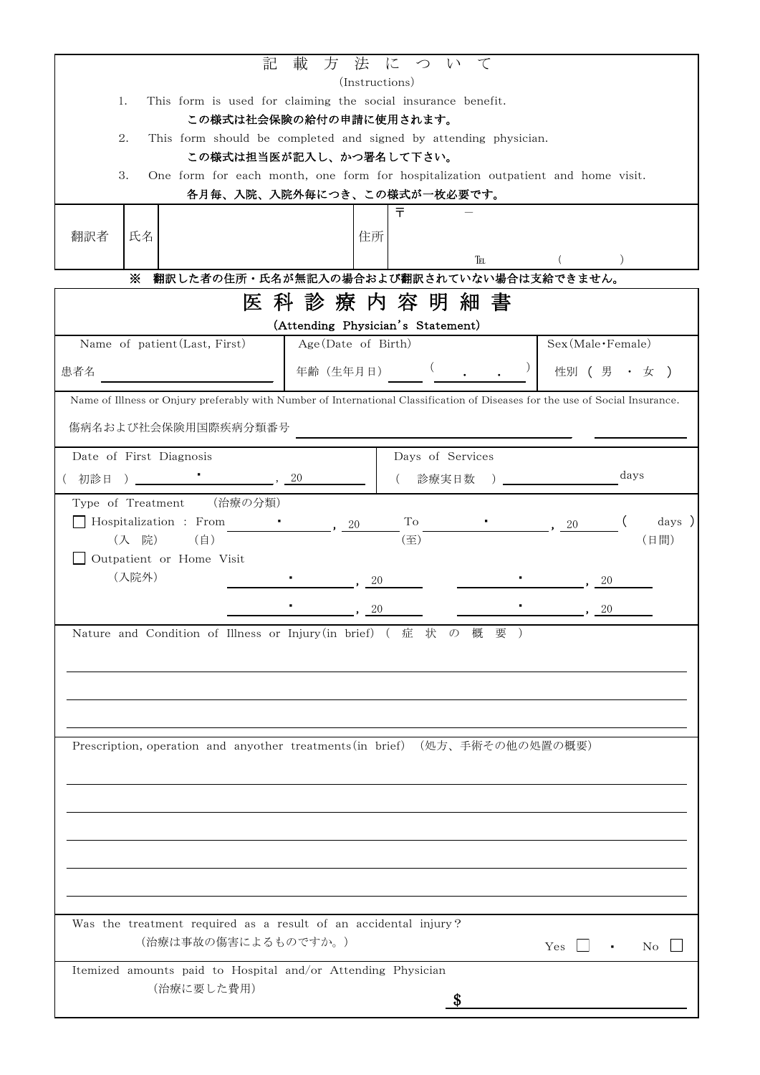|                         | 記                                                                                                                             | 載<br>方<br>法                       | $\vee$<br>に      |                           |                     |                         |
|-------------------------|-------------------------------------------------------------------------------------------------------------------------------|-----------------------------------|------------------|---------------------------|---------------------|-------------------------|
|                         |                                                                                                                               |                                   | (Instructions)   |                           |                     |                         |
| 1.                      | This form is used for claiming the social insurance benefit.                                                                  |                                   |                  |                           |                     |                         |
|                         |                                                                                                                               | この様式は社会保険の給付の申請に使用されます。           |                  |                           |                     |                         |
| 2.                      | This form should be completed and signed by attending physician.                                                              |                                   |                  |                           |                     |                         |
|                         |                                                                                                                               | この様式は担当医が記入し、かつ署名して下さい。           |                  |                           |                     |                         |
| 3.                      | One form for each month, one form for hospitalization outpatient and home visit.                                              |                                   |                  |                           |                     |                         |
|                         |                                                                                                                               | 各月毎、入院、入院外毎につき、この様式が一枚必要です。       | ᆍ                |                           |                     |                         |
|                         |                                                                                                                               |                                   |                  |                           |                     |                         |
| 氏名<br>翻訳者               |                                                                                                                               | 住所                                |                  |                           |                     |                         |
|                         |                                                                                                                               |                                   |                  | ΤEL                       |                     |                         |
| ⋇                       | 翻訳した者の住所・氏名が無記入の場合および翻訳されていない場合は支給できません。                                                                                      |                                   |                  |                           |                     |                         |
|                         |                                                                                                                               | 医 科 診 療 内 容 明 細 書                 |                  |                           |                     |                         |
|                         |                                                                                                                               | (Attending Physician's Statement) |                  |                           |                     |                         |
|                         | Name of patient (Last, First)                                                                                                 | Age(Date of Birth)                |                  |                           | Sex (Male · Female) |                         |
| 患者名                     |                                                                                                                               | 年齢 (生年月日)                         |                  |                           | 性別 (男               | 女                       |
|                         | Name of Illness or Onjury preferably with Number of International Classification of Diseases for the use of Social Insurance. |                                   |                  |                           |                     |                         |
|                         | 傷病名および社会保険用国際疾病分類番号                                                                                                           |                                   |                  |                           |                     |                         |
| Date of First Diagnosis |                                                                                                                               |                                   | Days of Services |                           |                     |                         |
| (初診日                    | $\bullet$ $\frac{20}{100}$                                                                                                    |                                   | 診療実日数            |                           |                     | days                    |
|                         | Type of Treatment (治療の分類)                                                                                                     |                                   |                  |                           |                     |                         |
|                         | Hospitalization : From                                                                                                        |                                   | Tо               |                           |                     | days )                  |
| (入院)                    | (自)                                                                                                                           | 20                                | (至)              |                           | , 20                | (日間)                    |
|                         | Outpatient or Home Visit                                                                                                      |                                   |                  |                           |                     |                         |
| (入院外)                   |                                                                                                                               |                                   | 20               |                           | 20                  |                         |
|                         |                                                                                                                               |                                   |                  |                           |                     |                         |
|                         |                                                                                                                               |                                   | 20               |                           | 20                  |                         |
|                         | Nature and Condition of Illness or Injury(in brief) (症状の概要)                                                                   |                                   |                  |                           |                     |                         |
|                         |                                                                                                                               |                                   |                  |                           |                     |                         |
|                         |                                                                                                                               |                                   |                  |                           |                     |                         |
|                         |                                                                                                                               |                                   |                  |                           |                     |                         |
|                         |                                                                                                                               |                                   |                  |                           |                     |                         |
|                         | Prescription, operation and anyother treatments (in brief) (処方、手術その他の処置の概要)                                                   |                                   |                  |                           |                     |                         |
|                         |                                                                                                                               |                                   |                  |                           |                     |                         |
|                         |                                                                                                                               |                                   |                  |                           |                     |                         |
|                         |                                                                                                                               |                                   |                  |                           |                     |                         |
|                         |                                                                                                                               |                                   |                  |                           |                     |                         |
|                         |                                                                                                                               |                                   |                  |                           |                     |                         |
|                         |                                                                                                                               |                                   |                  |                           |                     |                         |
|                         |                                                                                                                               |                                   |                  |                           |                     |                         |
|                         |                                                                                                                               |                                   |                  |                           |                     |                         |
|                         | Was the treatment required as a result of an accidental injury?                                                               |                                   |                  |                           |                     |                         |
|                         | (治療は事故の傷害によるものですか。)                                                                                                           |                                   |                  |                           | Yes                 | $\overline{N}$ o $\Box$ |
|                         | Itemized amounts paid to Hospital and/or Attending Physician                                                                  |                                   |                  |                           |                     |                         |
|                         | (治療に要した費用)                                                                                                                    |                                   |                  |                           |                     |                         |
|                         |                                                                                                                               |                                   |                  | $\boldsymbol{\mathsf{s}}$ |                     |                         |
|                         |                                                                                                                               |                                   |                  |                           |                     |                         |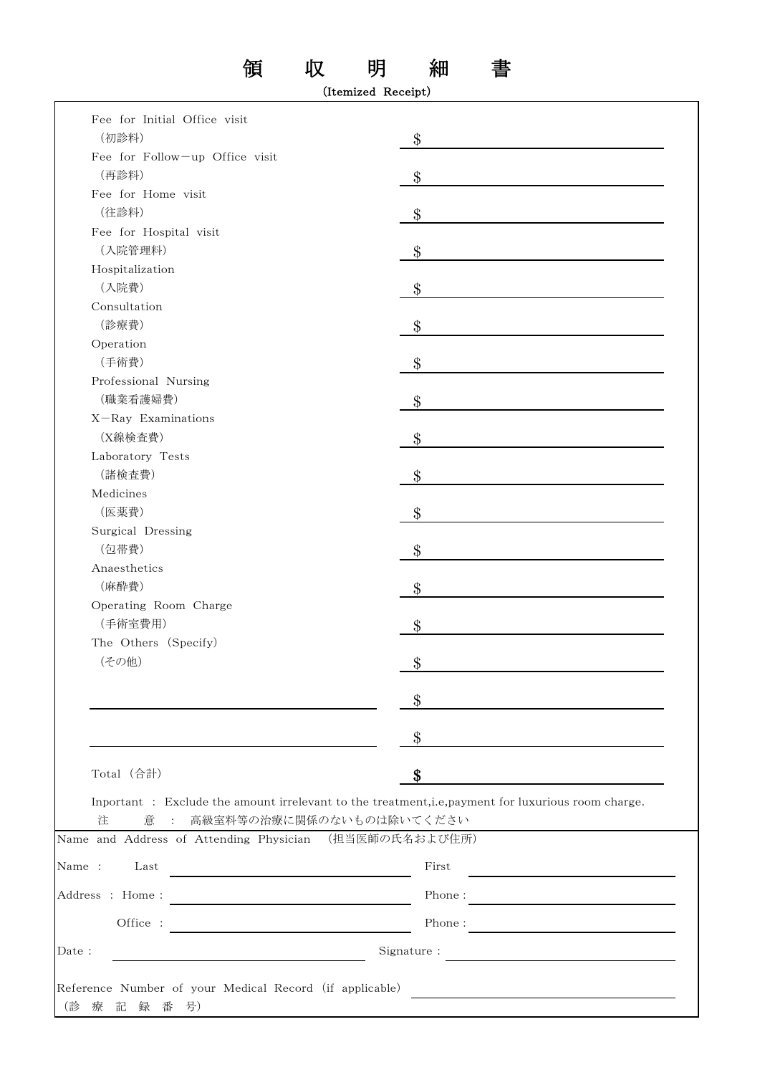|                                                         | 収<br>領                                                      | 明                  | 細           | 書                                                                                                                    |  |
|---------------------------------------------------------|-------------------------------------------------------------|--------------------|-------------|----------------------------------------------------------------------------------------------------------------------|--|
|                                                         |                                                             | (Itemized Receipt) |             |                                                                                                                      |  |
| Fee for Initial Office visit                            |                                                             |                    |             |                                                                                                                      |  |
| (初診料)                                                   |                                                             |                    | \$          |                                                                                                                      |  |
| Fee for Follow-up Office visit                          |                                                             |                    |             |                                                                                                                      |  |
| (再診料)                                                   |                                                             |                    | \$          |                                                                                                                      |  |
| Fee for Home visit                                      |                                                             |                    |             |                                                                                                                      |  |
| (往診料)                                                   |                                                             |                    | \$          |                                                                                                                      |  |
| Fee for Hospital visit                                  |                                                             |                    |             |                                                                                                                      |  |
| (入院管理料)                                                 |                                                             |                    | \$          |                                                                                                                      |  |
| Hospitalization                                         |                                                             |                    |             |                                                                                                                      |  |
| (入院費)                                                   |                                                             |                    | \$          |                                                                                                                      |  |
| Consultation                                            |                                                             |                    |             |                                                                                                                      |  |
| (診療費)                                                   |                                                             |                    | \$          |                                                                                                                      |  |
| Operation                                               |                                                             |                    |             |                                                                                                                      |  |
| (手術費)                                                   |                                                             |                    | \$          |                                                                                                                      |  |
| Professional Nursing                                    |                                                             |                    |             |                                                                                                                      |  |
| (職業看護婦費)                                                |                                                             |                    | \$          |                                                                                                                      |  |
| X-Ray Examinations                                      |                                                             |                    |             |                                                                                                                      |  |
| (X線検査費)                                                 |                                                             |                    | \$          |                                                                                                                      |  |
| Laboratory Tests                                        |                                                             |                    |             |                                                                                                                      |  |
| (諸検査費)                                                  |                                                             |                    | \$          |                                                                                                                      |  |
| Medicines                                               |                                                             |                    |             |                                                                                                                      |  |
| (医薬費)                                                   |                                                             |                    | \$          |                                                                                                                      |  |
| Surgical Dressing                                       |                                                             |                    |             |                                                                                                                      |  |
| (包帯費)                                                   |                                                             |                    | \$          |                                                                                                                      |  |
| Anaesthetics                                            |                                                             |                    |             |                                                                                                                      |  |
| (麻酔費)                                                   |                                                             |                    | \$          |                                                                                                                      |  |
| Operating Room Charge                                   |                                                             |                    |             |                                                                                                                      |  |
| (手術室費用)                                                 |                                                             |                    | \$          |                                                                                                                      |  |
| The Others (Specify)                                    |                                                             |                    |             |                                                                                                                      |  |
| (その他)                                                   |                                                             |                    | \$          |                                                                                                                      |  |
|                                                         |                                                             |                    |             |                                                                                                                      |  |
|                                                         |                                                             |                    | \$          |                                                                                                                      |  |
|                                                         |                                                             |                    |             |                                                                                                                      |  |
|                                                         |                                                             |                    | \$          |                                                                                                                      |  |
| Total (合計)                                              |                                                             |                    |             |                                                                                                                      |  |
|                                                         |                                                             |                    | \$          |                                                                                                                      |  |
|                                                         |                                                             |                    |             | Inportant : Exclude the amount irrelevant to the treatment, i.e, payment for luxurious room charge.                  |  |
| 注<br>意<br>$\therefore$                                  | 高級室料等の治療に関係のないものは除いてください                                    |                    |             |                                                                                                                      |  |
| Name and Address of Attending Physician (担当医師の氏名および住所)  |                                                             |                    |             |                                                                                                                      |  |
| Name :<br>Last                                          |                                                             |                    | First       |                                                                                                                      |  |
|                                                         | the control of the control of the control of the control of |                    |             |                                                                                                                      |  |
| Address : Home :                                        |                                                             |                    | Phone:      |                                                                                                                      |  |
| Office :                                                |                                                             |                    | Phone:      | <u> 1989 - Johann Barbara, martxa a shekara 1989 - André a Santana a Santana a Santana a Santana a Santana a San</u> |  |
|                                                         |                                                             |                    |             |                                                                                                                      |  |
| Date :                                                  | <u> 1980 - Johann Barbara, martxa alemaniar a</u>           |                    | Signature : |                                                                                                                      |  |
| Reference Number of your Medical Record (if applicable) |                                                             |                    |             |                                                                                                                      |  |
| (診<br>療<br>記 録 番 号)                                     |                                                             |                    |             |                                                                                                                      |  |
|                                                         |                                                             |                    |             |                                                                                                                      |  |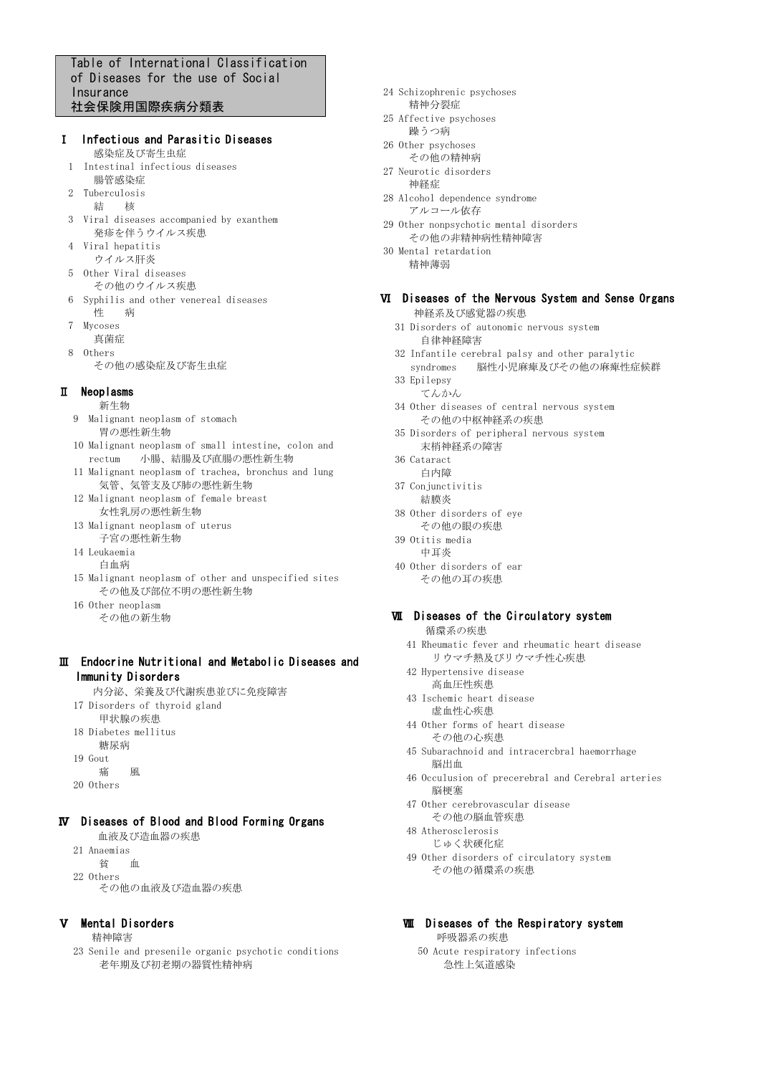#### Table of International Classification of Diseases for the use of Social **Insurance** 社会保険用国際疾病分類表

## Ⅰ Infectious and Parasitic Diseases

感染症及び寄生虫症

- 1 Intestinal infectious diseases 腸管感染症
- 2 Tuberculosis
- 結 核
- 3 Viral diseases accompanied by exanthem 発疹を伴うウイルス疾患
- 4 Viral hepatitis
- ウイルス肝炎
- 5 Other Viral diseases その他のウイルス疾患
- 6 Syphilis and other venereal diseases 性 病
- 7 Mycoses
- 真菌症
- 8 Others
	- その他の感染症及び寄生虫症

## Ⅱ Neoplasms

- 新生物
- 9 Malignant neoplasm of stomach 胃の悪性新生物
- 10 Malignant neoplasm of small intestine, colon and rectum 小腸、結腸及び直腸の悪性新生物
- 11 Malignant neoplasm of trachea, bronchus and lung 気管、気管支及び肺の悪性新生物
- 12 Malignant neoplasm of female breast 女性乳房の悪性新生物
- 13 Malignant neoplasm of uterus
- 子宮の悪性新生物
- 14 Leukaemia 白血病
- 
- 15 Malignant neoplasm of other and unspecified sites その他及び部位不明の悪性新生物
- 16 Other neoplasm
	- その他の新生物

## Ⅲ Endocrine Nutritional and Metabolic Diseases and Immunity Disorders

内分泌、栄養及び代謝疾患並びに免疫障害 17 Disorders of thyroid gland 甲状腺の疾患 18 Diabetes mellitus 糖尿病 19 Gout 痛 風 20 Others

# Ⅳ Diseases of Blood and Blood Forming Organs

血液及び造血器の疾患

21 Anaemias 貧 血 22 Others その他の血液及び造血器の疾患

# Ⅴ Mental Disorders

精神障害

23 Senile and presenile organic psychotic conditions 老年期及び初老期の器質性精神病

- 24 Schizophrenic psychoses 精神分裂症
- 25 Affective psychoses
- 躁うつ病
- 26 Other psychoses
- その他の精神病
- 27 Neurotic disorders
- 神経症
- 28 Alcohol dependence syndrome アルコール依存
- 29 Other nonpsychotic mental disorders その他の非精神病性精神障害
- 30 Mental retardation
	- 精神薄弱

# Ⅵ Diseases of the Nervous System and Sense Organs

神経系及び感覚器の疾患

- 31 Disorders of autonomic nervous system 自律神経障害
- 32 Infantile cerebral palsy and other paralytic
- syndromes 脳性小児麻痺及びその他の麻痺性症候群 33 Epilepsy
- てんかん
- 34 Other diseases of central nervous system その他の中枢神経系の疾患
- 35 Disorders of peripheral nervous system 末梢神経系の障害
- 36 Cataract
- 白内障 37 Conjunctivitis
- 結膜炎
- 38 Other disorders of eye その他の眼の疾患
- 39 Otitis media
- 中耳炎
- 40 Other disorders of ear その他の耳の疾患

# Ⅶ Diseases of the Circulatory system

循環系の疾患

- 41 Rheumatic fever and rheumatic heart disease リウマチ熱及びリウマチ性心疾患
- 42 Hypertensive disease 高血圧性疾患
- 43 Ischemic heart disease 虚血性心疾患
- 44 Other forms of heart disease その他の心疾患
- 45 Subarachnoid and intracercbral haemorrhage 脳出血
- 46 Occulusion of precerebral and Cerebral arteries 脳梗塞
- 47 Other cerebrovascular disease その他の脳血管疾患
- 48 Atherosclerosis
	- じゅく状硬化症
- 49 Other disorders of circulatory system その他の循環系の疾患
- **WI** Diseases of the Respiratory system 呼吸器系の疾患
	- 50 Acute respiratory infections 急性上気道感染